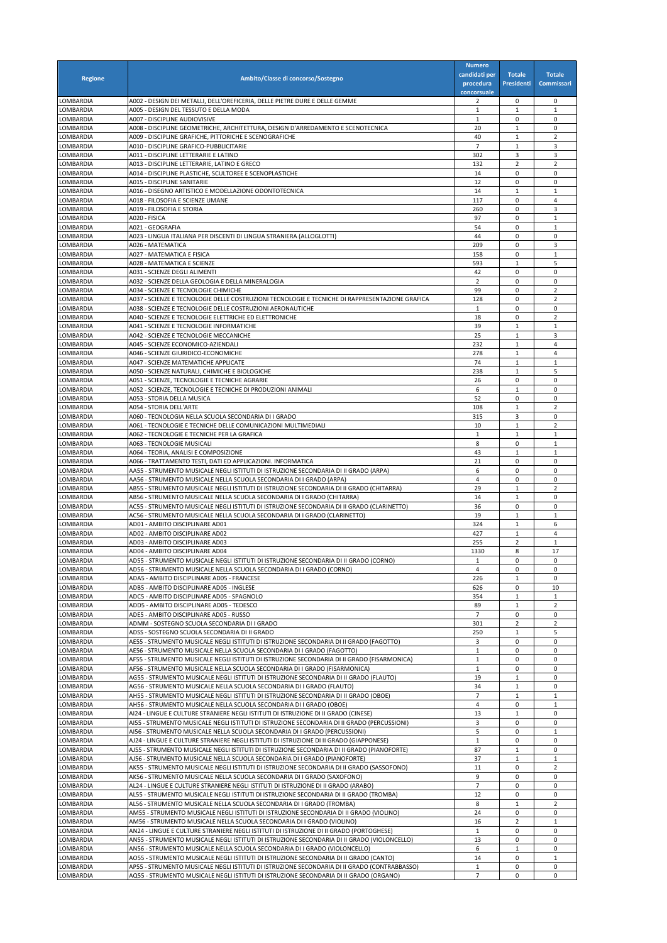|                        |                                                                                                                                                                                       | <b>Numero</b>  |                   |                         |
|------------------------|---------------------------------------------------------------------------------------------------------------------------------------------------------------------------------------|----------------|-------------------|-------------------------|
| <b>Regione</b>         | Ambito/Classe di concorso/Sostegno                                                                                                                                                    | candidati per  | <b>Totale</b>     | <b>Totale</b>           |
|                        |                                                                                                                                                                                       | procedura      | Presidenti        | Commissari              |
|                        |                                                                                                                                                                                       | concorsuale    |                   |                         |
| LOMBARDIA              | A002 - DESIGN DEI METALLI, DELL'OREFICERIA, DELLE PIETRE DURE E DELLE GEMME                                                                                                           | $\overline{2}$ | 0                 | 0                       |
| LOMBARDIA              | A005 - DESIGN DEL TESSUTO E DELLA MODA                                                                                                                                                | 1              | 1                 | 1                       |
| LOMBARDIA              | A007 - DISCIPLINE AUDIOVISIVE                                                                                                                                                         | 1              | 0                 | 0                       |
| LOMBARDIA              | A008 - DISCIPLINE GEOMETRICHE, ARCHITETTURA, DESIGN D'ARREDAMENTO E SCENOTECNICA                                                                                                      | 20<br>40       | $\mathbf{1}$<br>1 | $\pmb{0}$<br>2          |
| LOMBARDIA<br>LOMBARDIA | A009 - DISCIPLINE GRAFICHE, PITTORICHE E SCENOGRAFICHE<br>A010 - DISCIPLINE GRAFICO-PUBBLICITARIE                                                                                     | $\overline{7}$ | $\mathbf{1}$      | 3                       |
| LOMBARDIA              | A011 - DISCIPLINE LETTERARIE E LATINO                                                                                                                                                 | 302            | 3                 | 3                       |
| LOMBARDIA              | A013 - DISCIPLINE LETTERARIE, LATINO E GRECO                                                                                                                                          | 132            | 2                 | 2                       |
| LOMBARDIA              | A014 - DISCIPLINE PLASTICHE, SCULTOREE E SCENOPLASTICHE                                                                                                                               | 14             | 0                 | 0                       |
| LOMBARDIA              | A015 - DISCIPLINE SANITARIE                                                                                                                                                           | 12             | 0                 | 0                       |
| LOMBARDIA              | A016 - DISEGNO ARTISTICO E MODELLAZIONE ODONTOTECNICA                                                                                                                                 | 14             | 1                 | 1                       |
| LOMBARDIA              | A018 - FILOSOFIA E SCIENZE UMANE                                                                                                                                                      | 117            | 0                 | 4                       |
| LOMBARDIA              | A019 - FILOSOFIA E STORIA                                                                                                                                                             | 260            | 0                 | 3                       |
| LOMBARDIA              | A020 - FISICA                                                                                                                                                                         | 97             | 0                 | 1                       |
| LOMBARDIA              | A021 - GEOGRAFIA                                                                                                                                                                      | 54             | 0                 | 1                       |
| LOMBARDIA              | A023 - LINGUA ITALIANA PER DISCENTI DI LINGUA STRANIERA (ALLOGLOTTI)                                                                                                                  | 44             | 0                 | 0                       |
| LOMBARDIA              | A026 - MATEMATICA                                                                                                                                                                     | 209            | 0                 | 3                       |
| LOMBARDIA              | A027 - MATEMATICA E FISICA                                                                                                                                                            | 158            | 0                 | 1                       |
| LOMBARDIA              | A028 - MATEMATICA E SCIENZE                                                                                                                                                           | 593            | 1                 | 5                       |
| LOMBARDIA              | A031 - SCIENZE DEGLI ALIMENTI                                                                                                                                                         | 42             | 0                 | $\mathbf 0$             |
| LOMBARDIA              | A032 - SCIENZE DELLA GEOLOGIA E DELLA MINERALOGIA                                                                                                                                     | 2              | 0                 | $\pmb{0}$               |
| LOMBARDIA              | A034 - SCIENZE E TECNOLOGIE CHIMICHE                                                                                                                                                  | 99<br>128      | 0<br>0            | 2<br>$\overline{2}$     |
| LOMBARDIA<br>LOMBARDIA | A037 - SCIENZE E TECNOLOGIE DELLE COSTRUZIONI TECNOLOGIE E TECNICHE DI RAPPRESENTAZIONE GRAFICA<br>A038 - SCIENZE E TECNOLOGIE DELLE COSTRUZIONI AERONAUTICHE                         | 1              | 0                 | 0                       |
| LOMBARDIA              | A040 - SCIENZE E TECNOLOGIE ELETTRICHE ED ELETTRONICHE                                                                                                                                | 18             | 0                 | $\overline{\mathbf{c}}$ |
| LOMBARDIA              | A041 - SCIENZE E TECNOLOGIE INFORMATICHE                                                                                                                                              | 39             | $\mathbf 1$       | 1                       |
| LOMBARDIA              | A042 - SCIENZE E TECNOLOGIE MECCANICHE                                                                                                                                                | 25             | $\mathbf{1}$      | 3                       |
| LOMBARDIA              | A045 - SCIENZE ECONOMICO-AZIENDALI                                                                                                                                                    | 232            | $\mathbf{1}$      | 4                       |
| LOMBARDIA              | A046 - SCIENZE GIURIDICO-ECONOMICHE                                                                                                                                                   | 278            | $\mathbf 1$       | 4                       |
| LOMBARDIA              | A047 - SCIENZE MATEMATICHE APPLICATE                                                                                                                                                  | 74             | $\mathbf{1}$      | 1                       |
| LOMBARDIA              | A050 - SCIENZE NATURALI, CHIMICHE E BIOLOGICHE                                                                                                                                        | 238            | $\mathbf{1}$      | 5                       |
| LOMBARDIA              | A051 - SCIENZE, TECNOLOGIE E TECNICHE AGRARIE                                                                                                                                         | 26             | 0                 | $\pmb{0}$               |
| LOMBARDIA              | A052 - SCIENZE, TECNOLOGIE E TECNICHE DI PRODUZIONI ANIMALI                                                                                                                           | 6              | $\mathbf{1}$      | 0                       |
| LOMBARDIA              | A053 - STORIA DELLA MUSICA                                                                                                                                                            | 52             | 0                 | 0                       |
| LOMBARDIA              | A054 - STORIA DELL'ARTE                                                                                                                                                               | 108            | $\mathbf{1}$      | $\overline{2}$          |
| LOMBARDIA              | A060 - TECNOLOGIA NELLA SCUOLA SECONDARIA DI I GRADO                                                                                                                                  | 315            | 3                 | 0                       |
| LOMBARDIA              | A061 - TECNOLOGIE E TECNICHE DELLE COMUNICAZIONI MULTIMEDIALI                                                                                                                         | 10             | $\mathbf{1}$      | $\overline{2}$          |
| LOMBARDIA              | A062 - TECNOLOGIE E TECNICHE PER LA GRAFICA                                                                                                                                           | 1              | $\mathbf{1}$      | 1                       |
| LOMBARDIA<br>LOMBARDIA | A063 - TECNOLOGIE MUSICALI<br>A064 - TEORIA, ANALISI E COMPOSIZIONE                                                                                                                   | 8<br>43        | 0<br>$\mathbf{1}$ | 1<br>$\mathbf{1}$       |
| LOMBARDIA              | A066 - TRATTAMENTO TESTI, DATI ED APPLICAZIONI. INFORMATICA                                                                                                                           | 21             | 0                 | 0                       |
| LOMBARDIA              | AA55 - STRUMENTO MUSICALE NEGLI ISTITUTI DI ISTRUZIONE SECONDARIA DI II GRADO (ARPA)                                                                                                  | 6              | 0                 | $\mathbf 0$             |
| LOMBARDIA              | AA56 - STRUMENTO MUSICALE NELLA SCUOLA SECONDARIA DI I GRADO (ARPA)                                                                                                                   | 4              | 0                 | 0                       |
| LOMBARDIA              | AB55 - STRUMENTO MUSICALE NEGLI ISTITUTI DI ISTRUZIONE SECONDARIA DI II GRADO (CHITARRA)                                                                                              | 29             | 1                 | 2                       |
| LOMBARDIA              | AB56 - STRUMENTO MUSICALE NELLA SCUOLA SECONDARIA DI I GRADO (CHITARRA)                                                                                                               | 14             | $\mathbf{1}$      | $\mathbf 0$             |
| LOMBARDIA              | AC55 - STRUMENTO MUSICALE NEGLI ISTITUTI DI ISTRUZIONE SECONDARIA DI II GRADO (CLARINETTO)                                                                                            | 36             | 0                 | $\mathbf 0$             |
| LOMBARDIA              | AC56 - STRUMENTO MUSICALE NELLA SCUOLA SECONDARIA DI I GRADO (CLARINETTO)                                                                                                             | 19             | $\mathbf{1}$      | 1                       |
| LOMBARDIA              | AD01 - AMBITO DISCIPLINARE AD01                                                                                                                                                       | 324            | $\mathbf{1}$      | 6                       |
| LOMBARDIA              | AD02 - AMBITO DISCIPLINARE AD02                                                                                                                                                       | 427            | 1                 | 4                       |
| LOMBARDIA              | AD03 - AMBITO DISCIPLINARE AD03                                                                                                                                                       | 255            | 2                 | $\mathbf{1}$            |
| LOMBARDIA              | AD04 - AMBITO DISCIPLINARE AD04                                                                                                                                                       | 1330           | 8                 | 17                      |
| LOMBARDIA              | AD55 - STRUMENTO MUSICALE NEGLI ISTITUTI DI ISTRUZIONE SECONDARIA DI II GRADO (CORNO)                                                                                                 | $\mathbf{1}$   | 0                 | 0                       |
| LOMBARDIA              | AD56 - STRUMENTO MUSICALE NELLA SCUOLA SECONDARIA DI I GRADO (CORNO)                                                                                                                  | 4              | 0                 | 0                       |
| LOMBARDIA              | ADA5 - AMBITO DISCIPLINARE AD05 - FRANCESE                                                                                                                                            | 226            | $\mathbf{1}$      | $\pmb{0}$               |
| LOMBARDIA<br>LOMBARDIA | ADB5 - AMBITO DISCIPLINARE AD05 - INGLESE<br>ADC5 - AMBITO DISCIPLINARE AD05 - SPAGNOLO                                                                                               | 626<br>354     | 0<br>1            | 10<br>1                 |
| LOMBARDIA              | ADD5 - AMBITO DISCIPLINARE AD05 - TEDESCO                                                                                                                                             | 89             | $\mathbf{1}$      | $\overline{2}$          |
| LOMBARDIA              | ADE5 - AMBITO DISCIPLINARE AD05 - RUSSO                                                                                                                                               | $\overline{7}$ | 0                 | 0                       |
| LOMBARDIA              | ADMM - SOSTEGNO SCUOLA SECONDARIA DI I GRADO                                                                                                                                          | 301            | 2                 | 2                       |
| LOMBARDIA              | ADSS - SOSTEGNO SCUOLA SECONDARIA DI II GRADO                                                                                                                                         | 250            | $\mathbf{1}$      | 5                       |
| LOMBARDIA              | AE55 - STRUMENTO MUSICALE NEGLI ISTITUTI DI ISTRUZIONE SECONDARIA DI II GRADO (FAGOTTO)                                                                                               | 3              | 0                 | $\mathbf 0$             |
| LOMBARDIA              | AE56 - STRUMENTO MUSICALE NELLA SCUOLA SECONDARIA DI I GRADO (FAGOTTO)                                                                                                                | 1              | 0                 | 0                       |
| LOMBARDIA              | AF55 - STRUMENTO MUSICALE NEGLI ISTITUTI DI ISTRUZIONE SECONDARIA DI II GRADO (FISARMONICA)                                                                                           | $\mathbf{1}$   | 0                 | 0                       |
| LOMBARDIA              | AF56 - STRUMENTO MUSICALE NELLA SCUOLA SECONDARIA DI I GRADO (FISARMONICA)                                                                                                            | 1              | 0                 | 0                       |
| LOMBARDIA              | AG55 - STRUMENTO MUSICALE NEGLI ISTITUTI DI ISTRUZIONE SECONDARIA DI II GRADO (FLAUTO)                                                                                                | 19             | 1                 | 0                       |
| LOMBARDIA              | AG56 - STRUMENTO MUSICALE NELLA SCUOLA SECONDARIA DI I GRADO (FLAUTO)                                                                                                                 | 34             | $\mathbf{1}$      | 0                       |
| LOMBARDIA              | AH55 - STRUMENTO MUSICALE NEGLI ISTITUTI DI ISTRUZIONE SECONDARIA DI II GRADO (OBOE)                                                                                                  | $\overline{7}$ | 1                 | 1                       |
| LOMBARDIA              | AH56 - STRUMENTO MUSICALE NELLA SCUOLA SECONDARIA DI I GRADO (OBOE)                                                                                                                   | 4              | 0                 | 1                       |
| LOMBARDIA              | AI24 - LINGUE E CULTURE STRANIERE NEGLI ISTITUTI DI ISTRUZIONE DI II GRADO (CINESE)                                                                                                   | 13             | $\mathbf{1}$      | 0<br>$\pmb{0}$          |
| LOMBARDIA<br>LOMBARDIA | AI55 - STRUMENTO MUSICALE NEGLI ISTITUTI DI ISTRUZIONE SECONDARIA DI II GRADO (PERCUSSIONI)<br>AI56 - STRUMENTO MUSICALE NELLA SCUOLA SECONDARIA DI I GRADO (PERCUSSIONI)             | 3<br>5         | 0<br>0            | 1                       |
| LOMBARDIA              | AJ24 - LINGUE E CULTURE STRANIERE NEGLI ISTITUTI DI ISTRUZIONE DI II GRADO (GIAPPONESE)                                                                                               | $\mathbf{1}$   | 0                 | 0                       |
| LOMBARDIA              | AJ55 - STRUMENTO MUSICALE NEGLI ISTITUTI DI ISTRUZIONE SECONDARIA DI II GRADO (PIANOFORTE)                                                                                            | 87             | $\mathbf{1}$      | 0                       |
| LOMBARDIA              | AJ56 - STRUMENTO MUSICALE NELLA SCUOLA SECONDARIA DI I GRADO (PIANOFORTE)                                                                                                             | 37             | 1                 | 1                       |
| LOMBARDIA              | AK55 - STRUMENTO MUSICALE NEGLI ISTITUTI DI ISTRUZIONE SECONDARIA DI II GRADO (SASSOFONO)                                                                                             | 11             | 0                 | $\overline{2}$          |
| LOMBARDIA              | AK56 - STRUMENTO MUSICALE NELLA SCUOLA SECONDARIA DI I GRADO (SAXOFONO)                                                                                                               | 9              | 0                 | $\pmb{0}$               |
| LOMBARDIA              | AL24 - LINGUE E CULTURE STRANIERE NEGLI ISTITUTI DI ISTRUZIONE DI II GRADO (ARABO)                                                                                                    | 7              | 0                 | 0                       |
| LOMBARDIA              | AL55 - STRUMENTO MUSICALE NEGLI ISTITUTI DI ISTRUZIONE SECONDARIA DI II GRADO (TROMBA)                                                                                                | 12             | 0                 | 0                       |
| LOMBARDIA              | AL56 - STRUMENTO MUSICALE NELLA SCUOLA SECONDARIA DI I GRADO (TROMBA)                                                                                                                 | 8              | $\mathbf{1}$      | $\overline{2}$          |
| LOMBARDIA              | AM55 - STRUMENTO MUSICALE NEGLI ISTITUTI DI ISTRUZIONE SECONDARIA DI II GRADO (VIOLINO)                                                                                               | 24             | 0                 | 0                       |
| LOMBARDIA              | AM56 - STRUMENTO MUSICALE NELLA SCUOLA SECONDARIA DI I GRADO (VIOLINO)                                                                                                                | 16             | $\overline{2}$    | 1                       |
| LOMBARDIA              | AN24 - LINGUE E CULTURE STRANIERE NEGLI ISTITUTI DI ISTRUZIONE DI II GRADO (PORTOGHESE)                                                                                               | 1              | 0                 | 0                       |
| LOMBARDIA              | AN55 - STRUMENTO MUSICALE NEGLI ISTITUTI DI ISTRUZIONE SECONDARIA DI II GRADO (VIOLONCELLO)                                                                                           | 13             | 0                 | 0                       |
| LOMBARDIA              | AN56 - STRUMENTO MUSICALE NELLA SCUOLA SECONDARIA DI I GRADO (VIOLONCELLO)                                                                                                            | 6              | 1                 | $\pmb{0}$               |
| LOMBARDIA              | AO55 - STRUMENTO MUSICALE NEGLI ISTITUTI DI ISTRUZIONE SECONDARIA DI II GRADO (CANTO)<br>AP55 - STRUMENTO MUSICALE NEGLI ISTITUTI DI ISTRUZIONE SECONDARIA DI II GRADO (CONTRABBASSO) | 14<br>1        | 0<br>0            | 1<br>0                  |
| LOMBARDIA<br>LOMBARDIA | AQ55 - STRUMENTO MUSICALE NEGLI ISTITUTI DI ISTRUZIONE SECONDARIA DI II GRADO (ORGANO)                                                                                                | $\overline{7}$ | 0                 | 0                       |
|                        |                                                                                                                                                                                       |                |                   |                         |